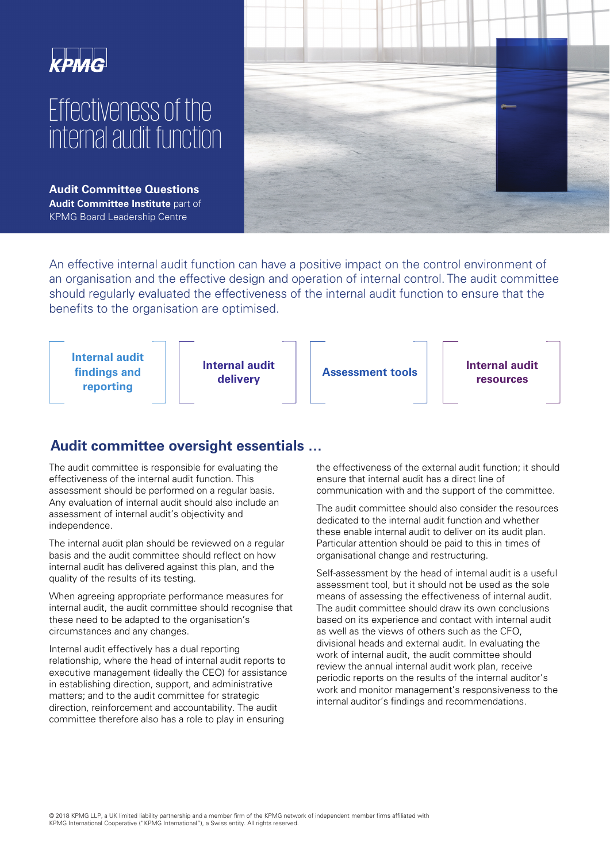# Effectiveness of the internal audit function

**Audit Committee Questions Audit Committee Institute** part of KPMG Board Leadership Centre



An effective internal audit function can have a positive impact on the control environment of an organisation and the effective design and operation of internal control. The audit committee should regularly evaluated the effectiveness of the internal audit function to ensure that the benefits to the organisation are optimised.



# **Audit committee oversight essentials …**

The audit committee is responsible for evaluating the effectiveness of the internal audit function. This assessment should be performed on a regular basis. Any evaluation of internal audit should also include an assessment of internal audit's objectivity and independence.

The internal audit plan should be reviewed on a regular basis and the audit committee should reflect on how internal audit has delivered against this plan, and the quality of the results of its testing.

When agreeing appropriate performance measures for internal audit, the audit committee should recognise that these need to be adapted to the organisation's circumstances and any changes.

Internal audit effectively has a dual reporting relationship, where the head of internal audit reports to executive management (ideally the CEO) for assistance in establishing direction, support, and administrative matters; and to the audit committee for strategic direction, reinforcement and accountability. The audit committee therefore also has a role to play in ensuring

the effectiveness of the external audit function; it should ensure that internal audit has a direct line of communication with and the support of the committee.

The audit committee should also consider the resources dedicated to the internal audit function and whether these enable internal audit to deliver on its audit plan. Particular attention should be paid to this in times of organisational change and restructuring.

Self-assessment by the head of internal audit is a useful assessment tool, but it should not be used as the sole means of assessing the effectiveness of internal audit. The audit committee should draw its own conclusions based on its experience and contact with internal audit as well as the views of others such as the CFO, divisional heads and external audit. In evaluating the work of internal audit, the audit committee should review the annual internal audit work plan, receive periodic reports on the results of the internal auditor's work and monitor management's responsiveness to the internal auditor's findings and recommendations.